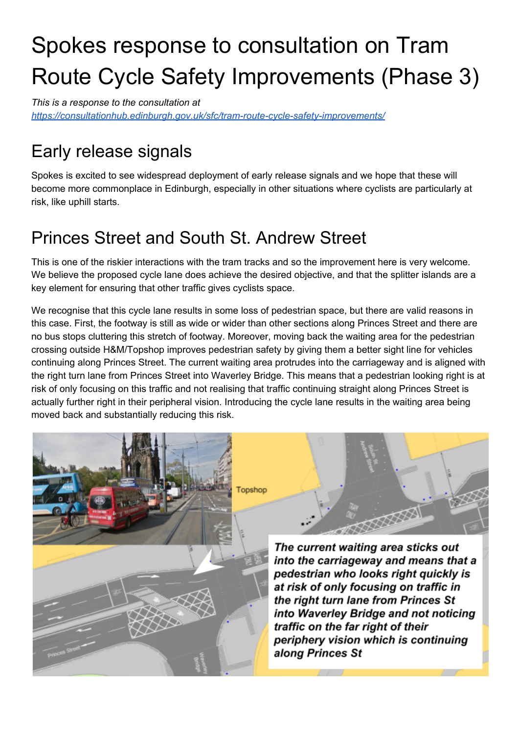# Spokes response to consultation on Tram Route Cycle Safety Improvements (Phase 3)

*This is a response to the consultation at <https://consultationhub.edinburgh.gov.uk/sfc/tram-route-cycle-safety-improvements/>*

# Early release signals

Spokes is excited to see widespread deployment of early release signals and we hope that these will become more commonplace in Edinburgh, especially in other situations where cyclists are particularly at risk, like uphill starts.

#### Princes Street and South St. Andrew Street

This is one of the riskier interactions with the tram tracks and so the improvement here is very welcome. We believe the proposed cycle lane does achieve the desired objective, and that the splitter islands are a key element for ensuring that other traffic gives cyclists space.

We recognise that this cycle lane results in some loss of pedestrian space, but there are valid reasons in this case. First, the footway is still as wide or wider than other sections along Princes Street and there are no bus stops cluttering this stretch of footway. Moreover, moving back the waiting area for the pedestrian crossing outside H&M/Topshop improves pedestrian safety by giving them a better sight line for vehicles continuing along Princes Street. The current waiting area protrudes into the carriageway and is aligned with the right turn lane from Princes Street into Waverley Bridge. This means that a pedestrian looking right is at risk of only focusing on this traffic and not realising that traffic continuing straight along Princes Street is actually further right in their peripheral vision. Introducing the cycle lane results in the waiting area being moved back and substantially reducing this risk.

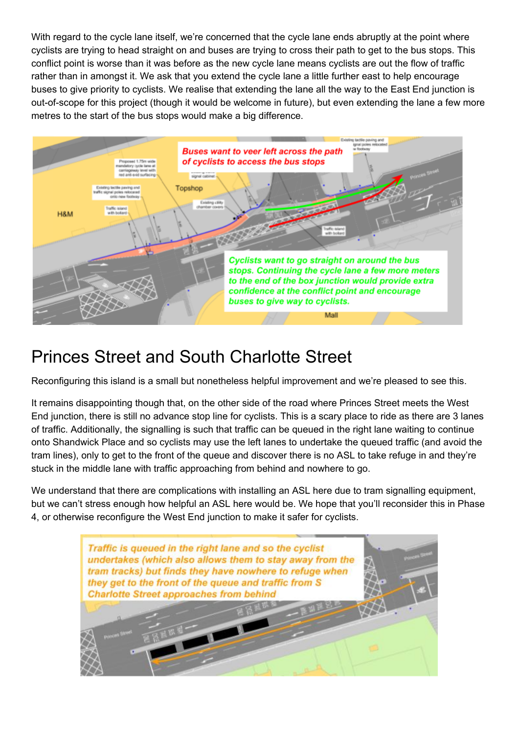With regard to the cycle lane itself, we're concerned that the cycle lane ends abruptly at the point where cyclists are trying to head straight on and buses are trying to cross their path to get to the bus stops. This conflict point is worse than it was before as the new cycle lane means cyclists are out the flow of traffic rather than in amongst it. We ask that you extend the cycle lane a little further east to help encourage buses to give priority to cyclists. We realise that extending the lane all the way to the East End junction is out-of-scope for this project (though it would be welcome in future), but even extending the lane a few more metres to the start of the bus stops would make a big difference.



#### Princes Street and South Charlotte Street

Reconfiguring this island is a small but nonetheless helpful improvement and we're pleased to see this.

It remains disappointing though that, on the other side of the road where Princes Street meets the West End junction, there is still no advance stop line for cyclists. This is a scary place to ride as there are 3 lanes of traffic. Additionally, the signalling is such that traffic can be queued in the right lane waiting to continue onto Shandwick Place and so cyclists may use the left lanes to undertake the queued traffic (and avoid the tram lines), only to get to the front of the queue and discover there is no ASL to take refuge in and they're stuck in the middle lane with traffic approaching from behind and nowhere to go.

We understand that there are complications with installing an ASL here due to tram signalling equipment, but we can't stress enough how helpful an ASL here would be. We hope that you'll reconsider this in Phase 4, or otherwise reconfigure the West End junction to make it safer for cyclists.